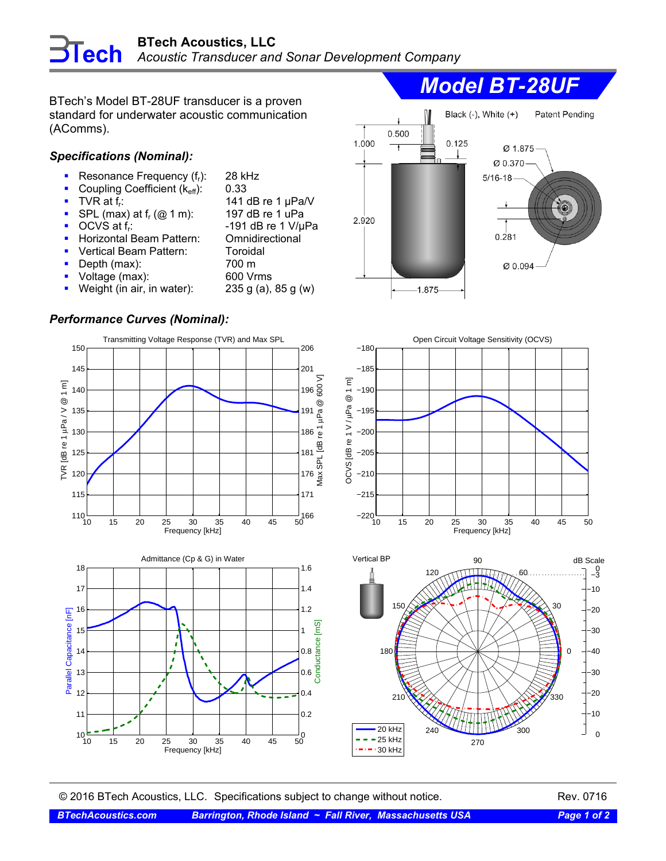BTech's Model BT-28UF transducer is a proven standard for underwater acoustic communication (AComms).

## *Specifications (Nominal):*

- Resonance Frequency  $(f_r)$ : 28 kHz<br>Coupling Coefficient  $(k_{\text{eff}})$ : 0.33
- Coupling Coefficient  $(k_{\text{eff}})$ :<br>TVR at  $f_r$ :
- 
- TVR at f<sub>r</sub>:  $TVR$  at f<sub>r</sub>:  $\frac{141}{2}$  dB re 1 µPa/V<br>SPL (max) at f<sub>r</sub> (@ 1 m): 197 dB re 1 uPa SPL (max) at  $f_r$  (@ 1 m):
- $\blacksquare$  OCVS at f<sub>r</sub>:  $\blacksquare$  -191 dB re 1 V/µPa
- **-** Horizontal Beam Pattern: Omnidirectional
- Vertical Beam Pattern: Toroidal
- Depth (max): 700 m
	-
- Voltage (max): 600 Vrms
- Weight (in air, in water):  $235 g(a)$ ,  $85 g(w)$

## *Performance Curves (Nominal):*











© 2016 BTech Acoustics, LLC. Specifications subject to change without notice. Rev. 0716